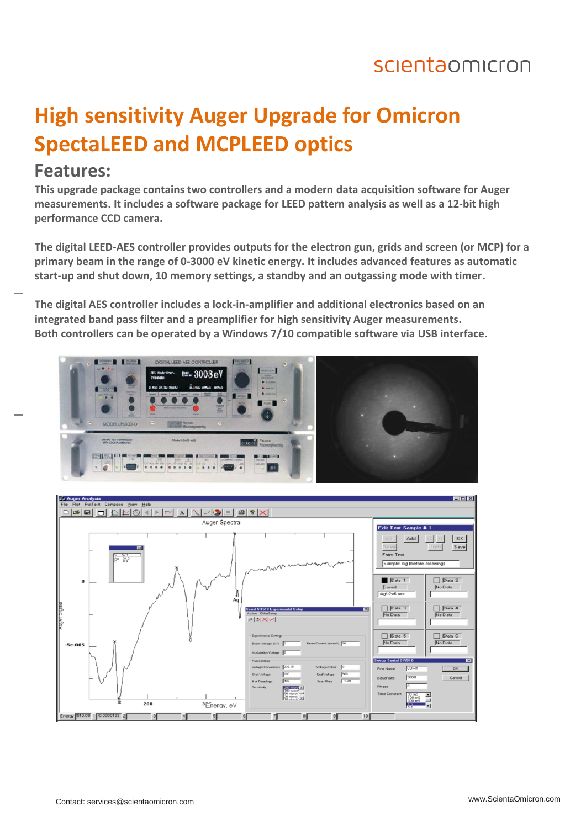## scientaomicron

# **High sensitivity Auger Upgrade for Omicron SpectaLEED and MCPLEED optics**

#### **Features:**

**This upgrade package contains two controllers and a modern data acquisition software for Auger measurements. It includes a software package for LEED pattern analysis as well as a 12-bit high performance CCD camera.**

**The digital LEED-AES controller provides outputs for the electron gun, grids and screen (or MCP) for a primary beam in the range of 0-3000 eV kinetic energy. It includes advanced features as automatic start-up and shut down, 10 memory settings, a standby and an outgassing mode with timer.**

**The digital AES controller includes a lock-in-amplifier and additional electronics based on an integrated band pass filter and a preamplifier for high sensitivity Auger measurements. Both controllers can be operated by a Windows 7/10 compatible software via USB interface.**